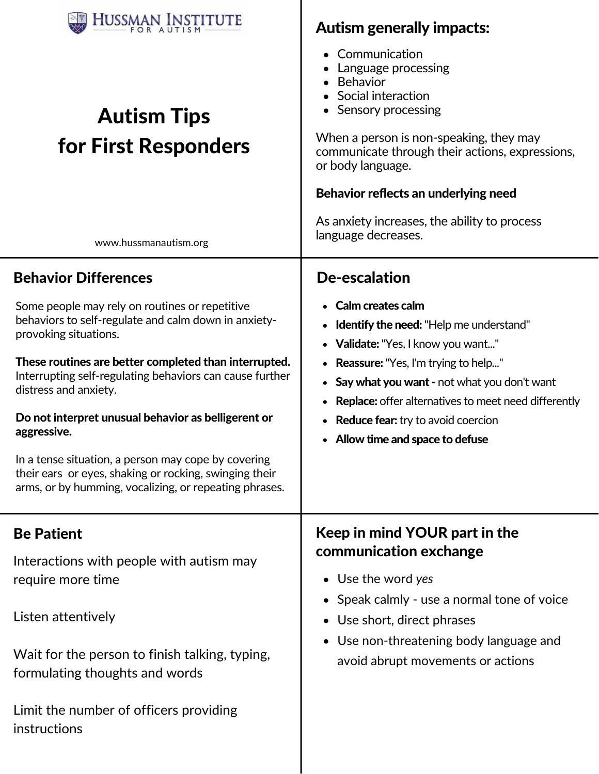| Communication<br>Language processing<br>Behavior<br>Social interaction<br>• Sensory processing<br>When a person is non-speaking, they may<br>communicate through their actions, expressions,<br>or body language.<br>Behavior reflects an underlying need<br>As anxiety increases, the ability to process<br>language decreases.               |
|------------------------------------------------------------------------------------------------------------------------------------------------------------------------------------------------------------------------------------------------------------------------------------------------------------------------------------------------|
| <b>De-escalation</b>                                                                                                                                                                                                                                                                                                                           |
| • Calm creates calm<br><b>Identify the need:</b> "Help me understand"<br>• Validate: "Yes, I know you want"<br>• Reassure: "Yes, I'm trying to help"<br>• Say what you want - not what you don't want<br><b>Replace:</b> offer alternatives to meet need differently<br>• Reduce fear: try to avoid coercion<br>Allow time and space to defuse |
| Keep in mind YOUR part in the<br>communication exchange<br>• Use the word yes<br>• Speak calmly - use a normal tone of voice<br>• Use short, direct phrases<br>• Use non-threatening body language and<br>avoid abrupt movements or actions                                                                                                    |
|                                                                                                                                                                                                                                                                                                                                                |